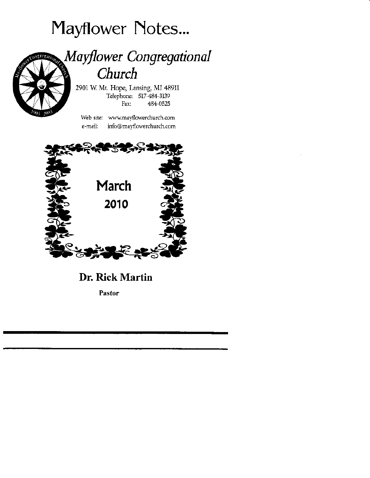# Mayflower Notes...



## Mayflower Congregational Church

2901 W. Mt. Hope, Lansing, MI 48911 Telephone: 517-484-3139 Fax: 484-0525

Web site: www.mayflowerchurch.com e-mail: info@mayflowerchurch.com



Dr. Rick Martin

Pastor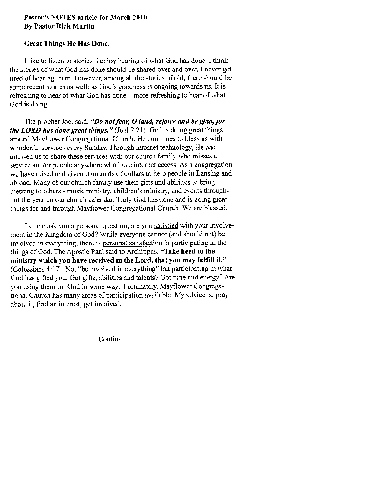## Pastor's NOTES article for Marcb 2010 By Pastor Rick Martin

## Creat Things He Has Done.

I like to listen to stories. I enjoy hearing of what God has done. I think the stories of what Cod has done should be shared over ard over, I never get tired of hearing them. However, among all the stories of old, there should be some recent stories as well; as God's goodness is ongoing towards us. It is refreshing to hear of what God has done - more refteshing to hear of what God is doing.

The prophet Joel said, "Do not fear,  $O$  land, rejoice and be glad, for the LORD has done great things." (Joel 2:21). God is doing great things around Maytlower Congegational Church, He continues to bless us with wonderful services every Sunday. Through internet technology, He has allowed us to share these services with our church family who misses a service and/or people anywhere who have internet access. As a congregation, we have raised and given thousands of dollars to help people in Lansing and abroad. Many of our church family use their gifts and abilities to bring blessing to others - music ministry, children's ministry, and events throughout the year on our church calendar. Truly God has done and is doing great things for and through Mayflower Congregational Church. We are blessed.

Let me ask you a personal question; are you satisfied with your involvement in the Kingdom of God? While everyone cannot (and should not) be involved in everything, there is personal satisfaction in participating in the things of God. The Apostle Paul said to Archippus, "Take heed to the ministry which you have received in the Lord, that you may fulfill it." (Colossians 4:17). Not "be involved in everything" but participating in what God has giffed you. Got giffs, abilities and talents? Got time and energy? Are you using them for God in some way? Fortunately, Mayflower Congregational Church has many areas of participation available. My advice is: pray about it, find an interest, get involved.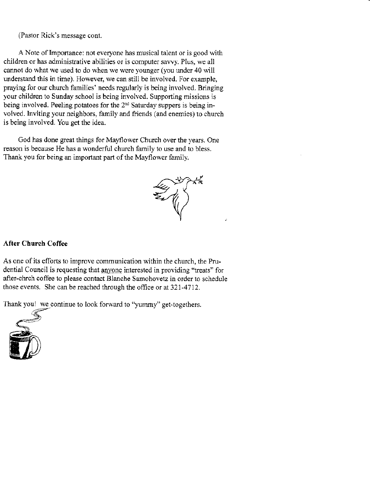(Pastor Rick's message cont.

A Note of Importance: not everyone has musical talent or is good with children or has administative abilities or is computer sawy. Plus, we all cannot do what we used to do when we were younger (you under 40 will understand this in time). However, we can still be involved. For example, praying for our church families' needs regularly is being involved. Bringing your children to Sunday school is being involved. Supporting missions is being involved. Peeling potatoes for the 2<sup>nd</sup> Saturday suppers is being involved. Inviting your neighbors, family and friends (and enemies) to church is being involved. You get the idea.

God has done great things for Mayflower Church over the years. One reason is because He has a wonderful church family to use and to bless. Thank you for being an important part of the Mayflower family,



## After Church Coffee

As one of its efforts to improve communication within the church, the Prudential Council is requesting that anyone interested in providing "treats" for after-chrch coffee to please contact Blanche Samohovetz in order to schedule those events. She can be reached through the office or at 321-4712.

Thank you! we continue to look forward to "yummy" get-togethers.

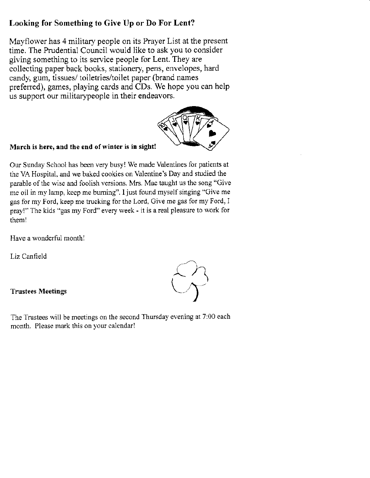## Looking for Something to Give Up or Do For Lent?

Mayflower has 4 military people on its Prayer List at the present time. The Prudential Council would like to ask you to consider giving something to its service people for Lent. They are collecting paper back books, stationery, pens, envelopes, hard candy, gum, tissues/ toiletries/toilet paper (brand names prefened), games, playing cards and CDs. We hope you can help us support our militarypeople in their endeavors.

## March is here, and the end of winter is in sight!

Our Sunday School has been very busyl We made Valentines for patients at the VA Hospital, and we baked cookies on Valentine's Day and studied the parable of the wise and foolish versions. Mrs. Mac taught us the song "Give me oil in my lamp, keep me burning". I just found myself singing "Give me gas for my Ford, keep me fucking for the Lord, Give me gas for my Ford, I pray!" The kids "gas my Ford" every week - it is a real pleasure to work for theml

Have a wonderful month!

Liz Canfield

## Trustees Meetings

The Trustees will be meetings on the second Thursday evening at  $7:00$  each month. Please mark this on your calendar!



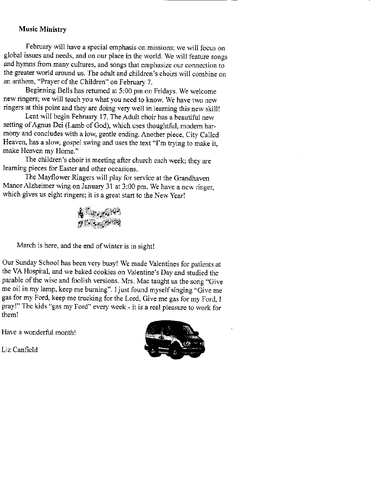## Music Ministry

February will have a special emphasis on missions; we will focus on global issues and needs, and on our place in the world. We will feature songs and hymns from many cultures, and songs that emphasize our connection to the greater world around us. The adult and children's choirs will combine on an anthem, "Prayer of the Children" on February 7.

Beginning Bells has returned at 5:00 pm on Fridays. We welcome new ringers; we will teach you what you need to know. We have two new ringers at this point and they are doing very well in learning this new skill!

Lent will begin February 17. The Adult choir has a beautiful new setting of Agnus Dei (Lamb of God), which uses thoughtful, modern harmony and concludes with a low, gentle ending. Another piece, City Called Heaven, has a slow, gospel swing and uses the text "I'm trying to make it, make Heaven my Home."

The children's choir is meeting after church each week; they are learning pieces for Easter and other occasions.

The Mayflower Ringers will play for service at the Grandhaven Manor Alzheimer wing on January 31 at 3:00 pm. We have a new ringer, which gives us eight ringers; it is a great start to the New Year!



March is here, and the end of winter is in sight!

Our Sunday School has been very busy! We made Valentines for patients at the VA Hospital, and we baked cookies on Valentine's Day and studied the parable of the wise and foolish versions. Mrs. Mac taught us the song "Give me oil in my lamp, keep me burning". I just found myself singing "Give me gas for my Ford, keep me tucking for the Lord, Give me gas for my Ford, I pray!" The kids "gas my Ford" every ueek - it is a real pleasure to work for them!

Have a wonderful month!



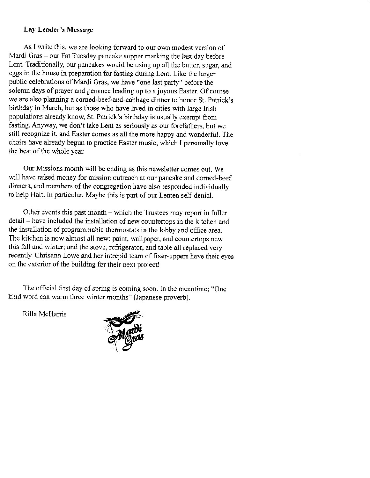## Lay Leader's Mcssage

As I write this, we are looking forward to our own modest version of Mardi Gras - our Fat Tuesday pancake supper marking the last day before Lent. Traditionally, ow pancakes would be using up all the butter, sugar, and eggs in the house in prepatation for fasting during Lent. Like the larger public celebrations of Mardi Gras, we have "one last party" before the solemn days of prayer and penance leading up to a joyous Easter. Of course we are also planning a corned-beef-and-cabbage dinner to honor St. Patrick's birthday in March, but as those who have lived in cities with large Irish populations already know, St. Patrick's birthday is usually exempt from fasting. Anyway, we don't take Lent as seriously as our forefathers, but we still recognize it, and Easter comes as all the more happy and wonderful. The choirs have already begun to practice Easter music, which I personally love the best of the whole year.

Our Missions month will be ending as this newslefter comes out. We will have raised money for mission outreach at our pancake and corned-beef dinners, and members of the congregation have also responded individually to help Haiti in particular. Maybe this is part of our Lenten self-denial.

Other events this past month - which the Trustees may report in fuller detail - have included the installation of new countertops in the kitchen and the installation of programmable thermostats in the lobby and office area. The kitchen is now almost all new: paint, wallpaper, and countertops new this fall and winter; and the stove, refrigerator, and table all replaced very recently. Chrisann Lowe and her intrepid team of fixer-uppers have their eyes on the exterior of the building for their nexr project!

The official first day of spring is coming soon. In the meantime: "One kind word can warm three winter months" (Japanese proverb).

Rilla McHarris

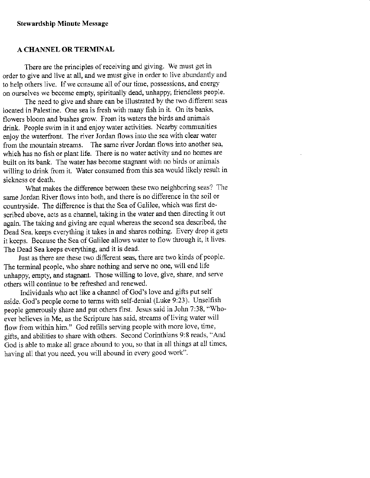## A CHANNEL OR TERMINAL

There are the principles of receiving and giving. We must get in order to give and live at all, and we must give in order to live abundantly and to help others live. If we consume all of our time, possessions, and energy on ourselves we become empty, spiritually dead, unhappy, friendless people,

The need to give and share can be illustrated by the two different seas located in Palestine. One sea is fresh with many fish in it. On its banks, flowers bloom and bushes grow. From its waters the birds and animals drink. People swim in it and enjoy water activities. Nearby communities enjoy the waterfront. The river Jordan flows into the sea with clear water from the mountain streams. The same river Jordan flows into another sea. which has no fish or plant life. There is no water activity and no homes are built on its bank. The water has become stagnant with no birds or animals willing to drirk from it. Water consumed from this sea would likely result in sickness or death.

What makes the difference between these two neighboring seas? The same Jordan River flows into both, and there is no difference in the soil or countryside. The difference is that the Sea of Galilee, which was first described above, acts as a channel, taking in the water and then directing it out again. The taking and giving are equal whereas the second sea described, the Dead Sea, keeps everything it takes in and shares nothing. Every drop it gets it keeps. Because the Sea of Galilee allows water to flow through it, it lives. The Dead Sea keeps everything, and it is dead.

Just as there are these two different seas, there are two kinds of people. The terminal people, who share nothing and serve no one, will end life unhappy, empty, and stagnant. Those willing to love, give, share, and serve others will continue to be refreshed and renewed.

Individuals who act like a channel of God's love and gifts put self aside. God's people come to tems with self-denial (Luke 9:23). Unselfish people generously share and put others first. Jesus said jn John 7138, "Whoever believes in Me, as the Scripture has said, streams of living water will flow from within him." God refills serving people with more love, time, gifts, and abilities to share with others. Second Corinthians 9:8 reads, "And God is able to make all grace abound to you, so that in all things at all times, having all that you need, you will abound in every good work".